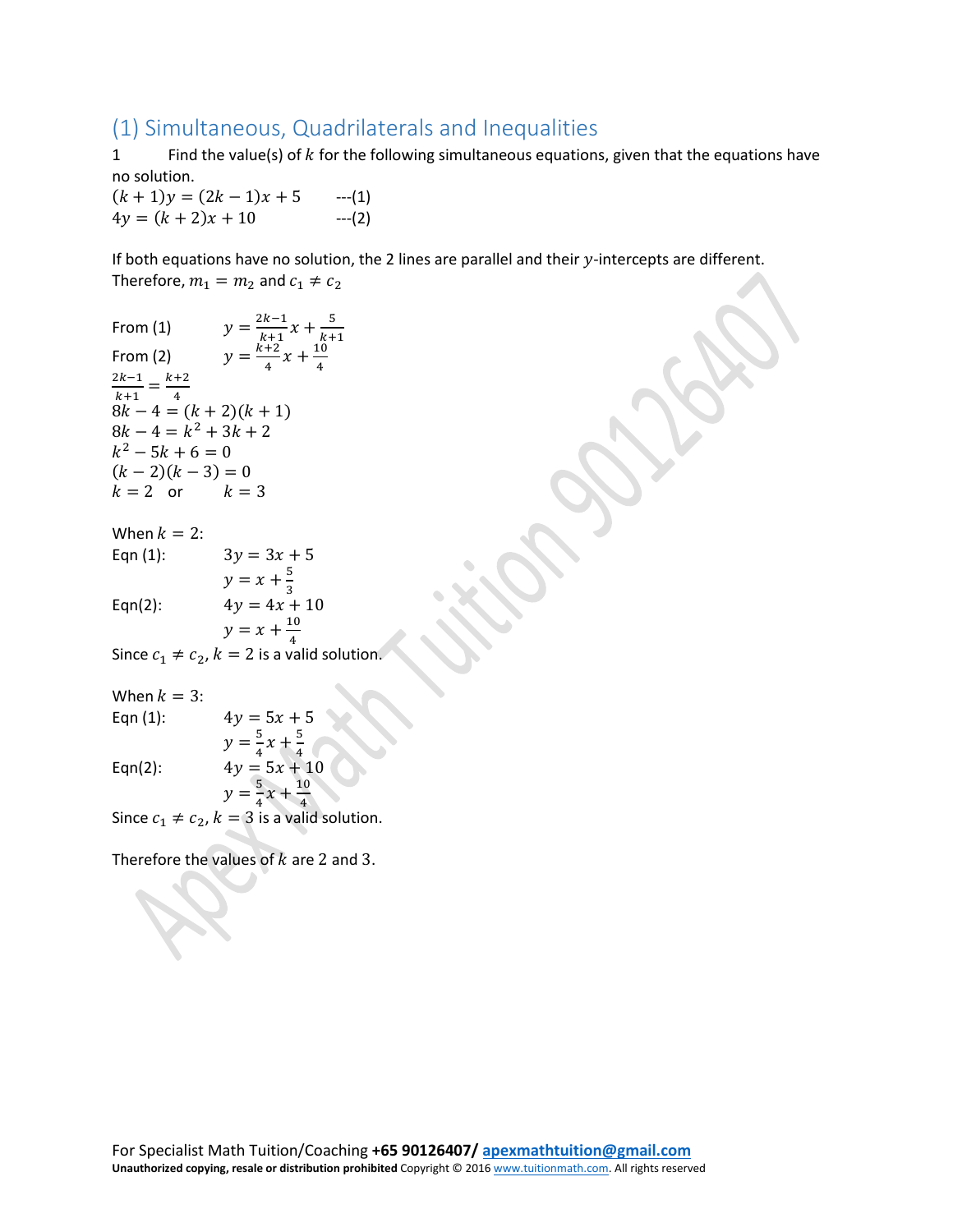## (1) Simultaneous, Quadrilaterals and Inequalities

1 Find the value(s) of  $k$  for the following simultaneous equations, given that the equations have no solution.

 $(k + 1)y = (2k - 1)x + 5$  ---(1)<br>  $4y = (k + 2)x + 10$  ---(2)  $4y = (k + 2)x + 10$ 

If both equations have no solution, the 2 lines are parallel and their  $y$ -intercepts are different. Therefore,  $m_1 = m_2$  and  $c_1 \neq c_2$ 

From (1)  $y = \frac{2k-1}{k+1}x + \frac{5}{k+1}$ <br>From (2)  $y = \frac{k+2}{4}x + \frac{10}{4}$  $\frac{2k-1}{k+1} = \frac{k+2}{4}$ 4  $8k - 4 = (k + 2)(k + 1)$  $8k - 4 = k^2 + 3k + 2$  $k^2 - 5k + 6 = 0$  $(k-2)(k-3) = 0$  $k = 2$  or  $k = 3$ 

When  $k = 2$ :<br>Eqn (1):  $3y = 3x + 5$ 

 $y = x + \frac{5}{3}$ <br>Eqn(2):  $4y = 4x + 10$ 

 $y = x + \frac{10}{4}$ Since  $c_1 \neq c_2$ ,  $k = 2$  is a valid solution.

> $4y = 5x + 5$  $y = \frac{5}{4}x + \frac{5}{4}$

When  $k = 3$ :<br>Eqn (1):

Eqn(2):  $4y = 5x + 10$ 

 $y = \frac{5}{4}$ Since  $c_1 \neq c_2$ ,  $k = 3$  is a valid solution.  $x + \frac{10}{4}$ 

Therefore the values of  $k$  are 2 and 3.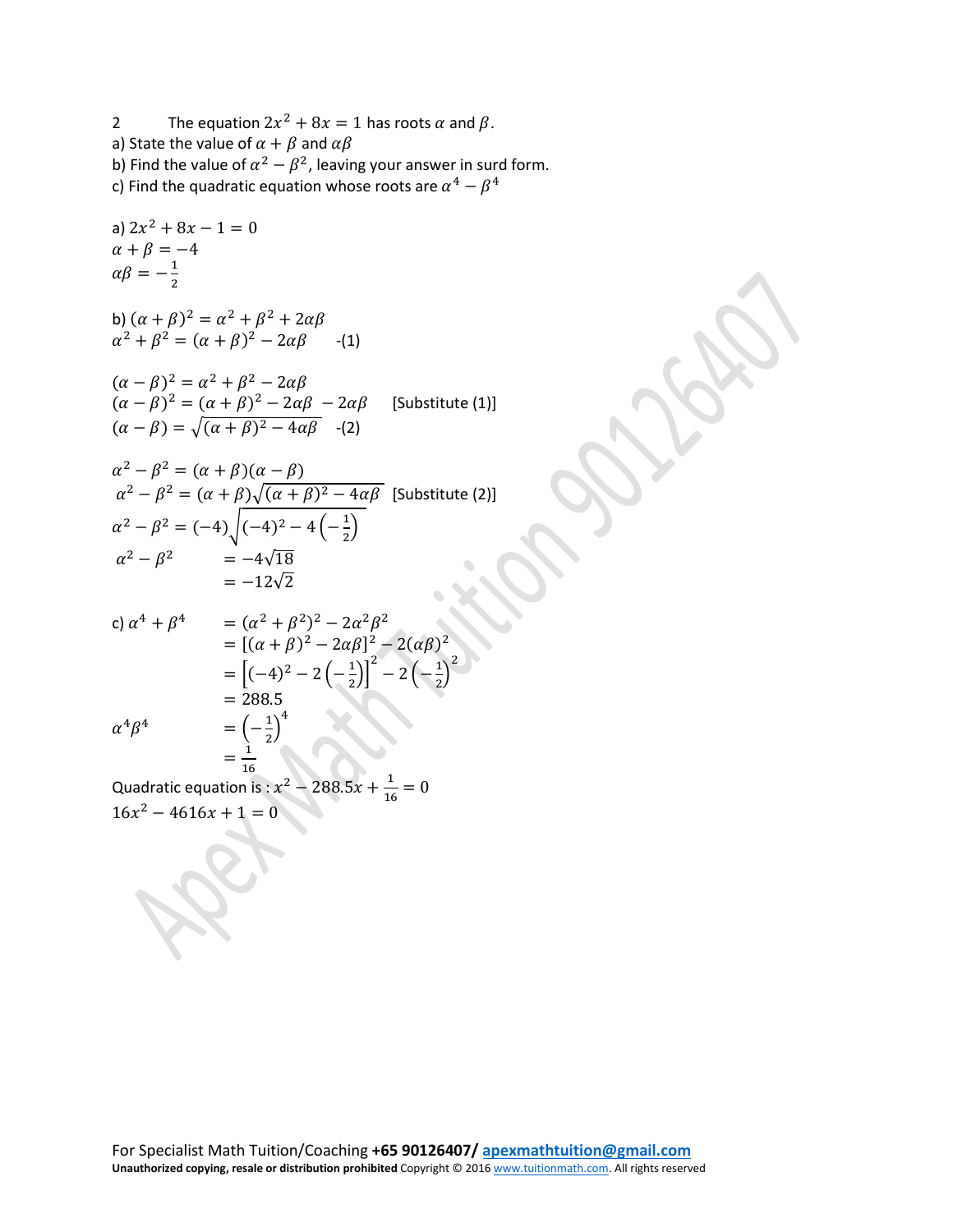2 The equation  $2x^2 + 8x = 1$  has roots  $\alpha$  and  $\beta$ . a) State the value of  $\alpha + \beta$  and  $\alpha\beta$ b) Find the value of  $\alpha^2 - \beta^2$ , leaving your answer in surd form. c) Find the quadratic equation whose roots are  $\alpha^4-\beta^4$ 

a) 
$$
2x^2 + 8x - 1 = 0
$$
  
\n $\alpha + \beta = -4$   
\n $\alpha\beta = -\frac{1}{2}$ 

b)  $(\alpha + \beta)^2 = \alpha^2 + \beta^2 + 2\alpha$  $\alpha^2 + \beta^2 = (\alpha + \beta)^2 - 2\alpha\beta$  -(1)

$$
(\alpha - \beta)^2 = \alpha^2 + \beta^2 - 2\alpha\beta
$$
  
\n
$$
(\alpha - \beta)^2 = (\alpha + \beta)^2 - 2\alpha\beta - 2\alpha\beta
$$
 [Substitute (1)]  
\n
$$
(\alpha - \beta) = \sqrt{(\alpha + \beta)^2 - 4\alpha\beta}
$$
 - (2)

$$
\alpha^2 - \beta^2 = (\alpha + \beta)(\alpha - \beta)
$$
  
\n
$$
\alpha^2 - \beta^2 = (\alpha + \beta)\sqrt{(\alpha + \beta)^2 - 4\alpha\beta}
$$
 [Substitute (2)]  
\n
$$
\alpha^2 - \beta^2 = (-4)\sqrt{(-4)^2 - 4(-\frac{1}{2})}
$$
  
\n
$$
\alpha^2 - \beta^2 = -4\sqrt{18}
$$
  
\n
$$
= -12\sqrt{2}
$$

c) 
$$
\alpha^4 + \beta^4
$$
 =  $(\alpha^2 + \beta^2)^2 - 2\alpha^2 \beta^2$   
\t=  $[(\alpha + \beta)^2 - 2\alpha\beta]^2 - 2(\alpha\beta)^2$   
\t=  $[-(4)^2 - 2(-\frac{1}{2})]^2 - 2(-\frac{1}{2})^2$   
\t= 288.5  
\n $\alpha^4 \beta^4$  =  $(-\frac{1}{2})^4$   
\t=  $\frac{1}{16}$ 

Quadratic equation is :  $x^2 - 288.5x + \frac{1}{16} = 0$  $16x^2 - 4616x + 1 = 0$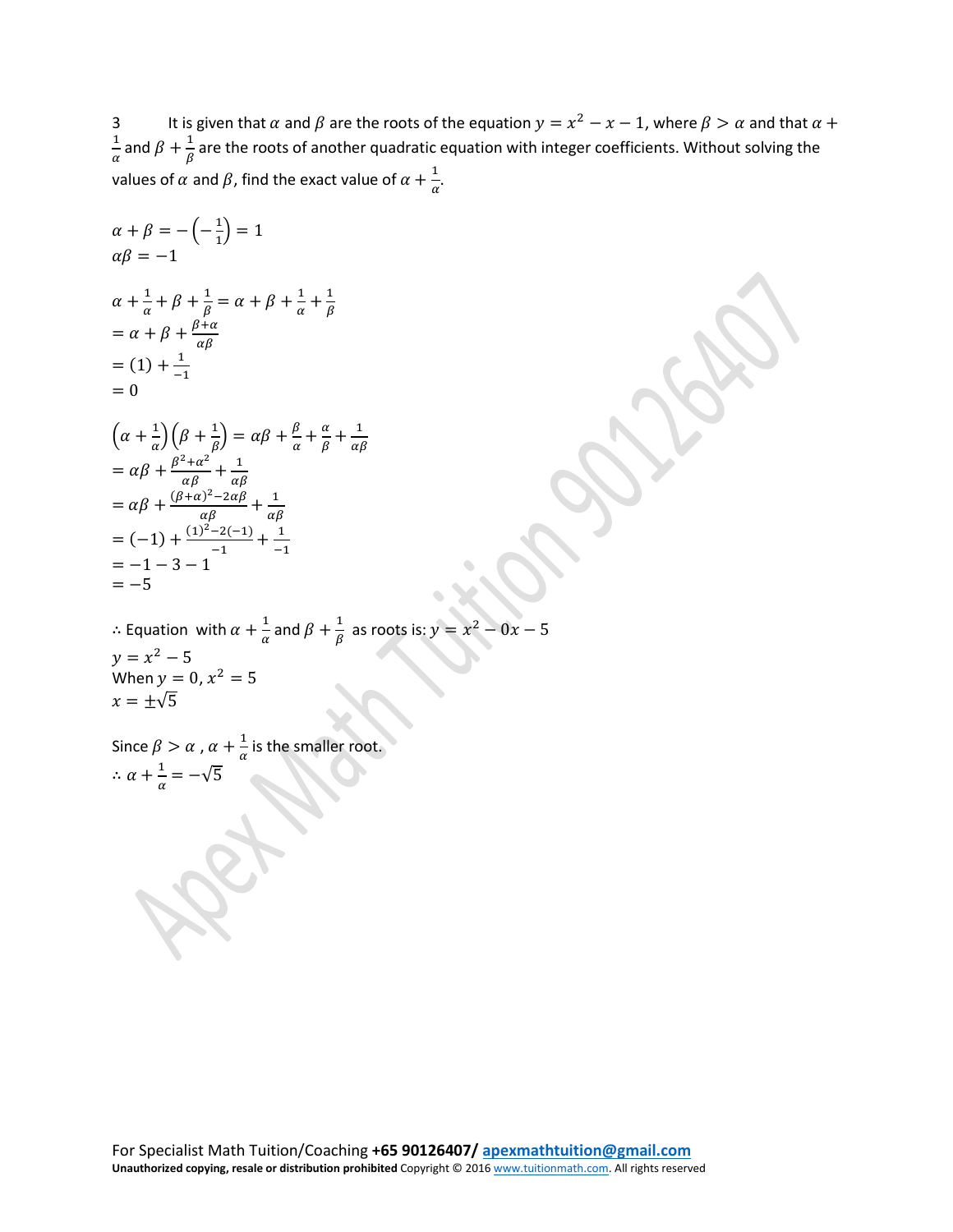3 It is given that  $\alpha$  and  $\beta$  are the roots of the equation  $y = x^2 - x - 1$ , where  $\beta > \alpha$  and that  $\alpha +$  $\frac{1}{\alpha}$  and  $\beta + \frac{1}{\beta}$  are the roots of another quadratic equation with integer coefficients. Without solving the values of  $\alpha$  and  $\beta$ , find the exact value of  $\alpha + \frac{1}{\alpha}$ .

$$
\alpha + \beta = -(-\frac{1}{1}) = 1
$$
  
\n
$$
\alpha\beta = -1
$$
  
\n
$$
\alpha + \frac{1}{\alpha} + \beta + \frac{1}{\beta} = \alpha + \beta + \frac{1}{\alpha} + \frac{1}{\beta}
$$
  
\n
$$
= \alpha + \beta + \frac{\beta + \alpha}{\alpha\beta}
$$
  
\n
$$
= (1) + \frac{1}{-1}
$$
  
\n
$$
= 0
$$
  
\n
$$
(\alpha + \frac{1}{\alpha})(\beta + \frac{1}{\beta}) = \alpha\beta + \frac{\beta}{\alpha} + \frac{\alpha}{\beta} + \frac{1}{\alpha\beta}
$$
  
\n
$$
= \alpha\beta + \frac{\beta^2 + \alpha^2}{\alpha\beta} + \frac{1}{\alpha\beta}
$$
  
\n
$$
= \alpha\beta + \frac{(\beta + \alpha)^2 - 2\alpha\beta}{\alpha\beta} + \frac{1}{\alpha\beta}
$$
  
\n
$$
= (-1) + \frac{(1)^2 - 2(-1)}{-1} + \frac{1}{-1}
$$
  
\n
$$
= -1 - 3 - 1
$$
  
\n
$$
= -5
$$
  
\n
$$
\therefore
$$
 Equation with  $\alpha + \frac{1}{\alpha}$  and  $\beta + \frac{1}{\beta}$  as roots is:  $y = x^2 - 0x - 5$   
\n
$$
y = x^2 - 5
$$
  
\n
$$
x + \frac{1}{\alpha} = -\sqrt{5}
$$
  
\nSince  $\beta > \alpha$ ,  $\alpha + \frac{1}{\alpha}$  is the smaller root.  
\n
$$
\therefore \alpha + \frac{1}{\alpha} = -\sqrt{5}
$$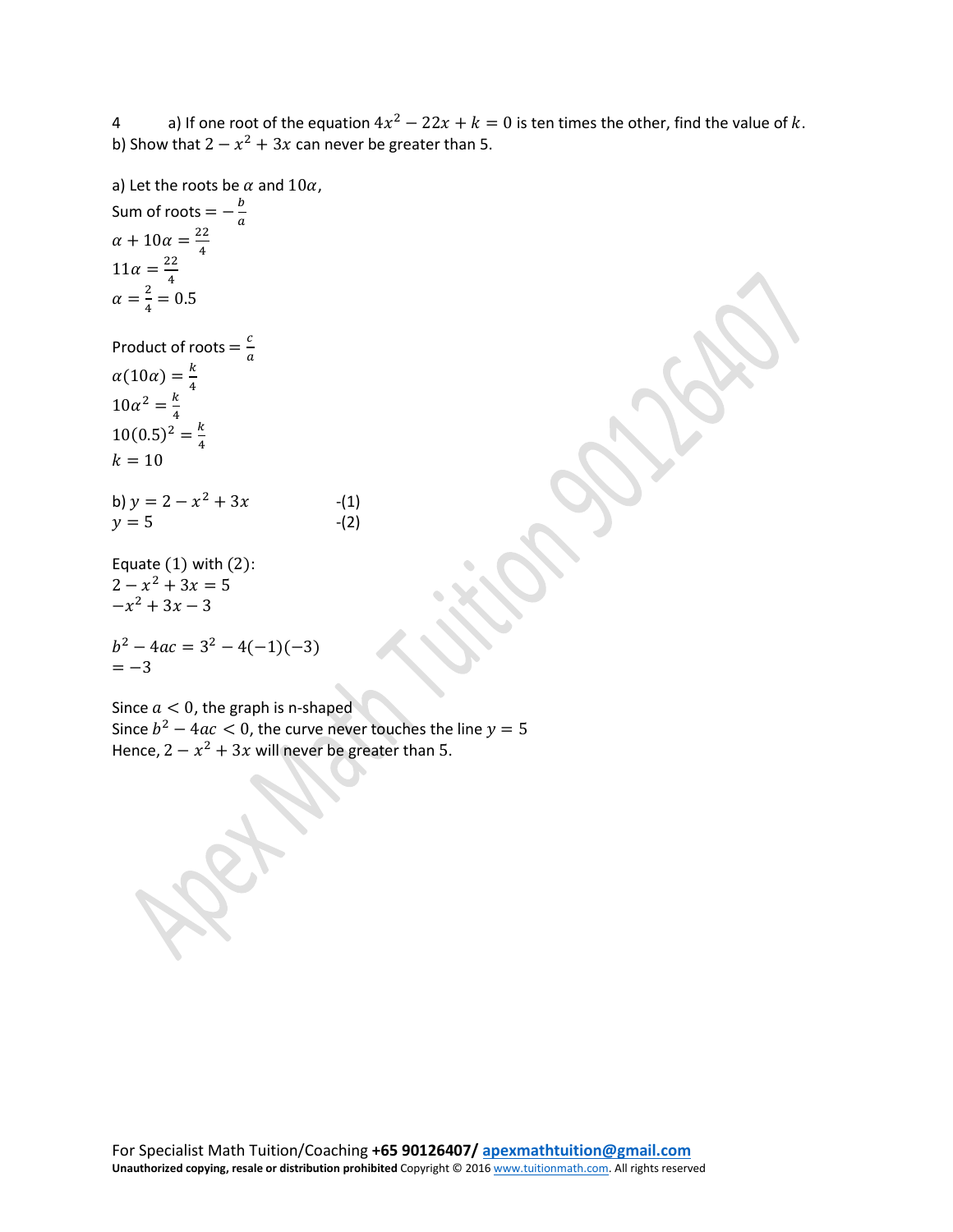4 a) If one root of the equation  $4x^2 - 22x + k = 0$  is ten times the other, find the value of k. b) Show that  $2 - x^2 + 3x$  can never be greater than 5.

a) Let the roots be  $\alpha$  and  $10\alpha$ , Sum of roots  $=-\frac{b}{a}$  $\alpha + 10\alpha = \frac{22}{4}$  $11\alpha = \frac{22}{4}$  $\alpha = \frac{2}{4} = 0.5$ Product of roots  $=\frac{c}{a}$  $\alpha(10\alpha) = \frac{k}{4}$ <br> $10\alpha^2 = \frac{k}{4}$  $10(0.5)^2 = \frac{k}{4}$  $k = 10$ b)  $y = 2 - x^2 + 3x$  -(1)<br>  $y = 5$  -(2)  $\nu = 5$ Equate  $(1)$  with  $(2)$ :  $2 - x^2 + 3x = 5$  $-x^2 + 3x - 3$ 

$$
b2 - 4ac = 32 - 4(-1)(-3) = -3
$$

Since  $a < 0$ , the graph is n-shaped Since  $b^2 - 4ac < 0$ , the curve never touches the line  $y = 5$ Hence,  $2 - x^2 + 3x$  will never be greater than 5.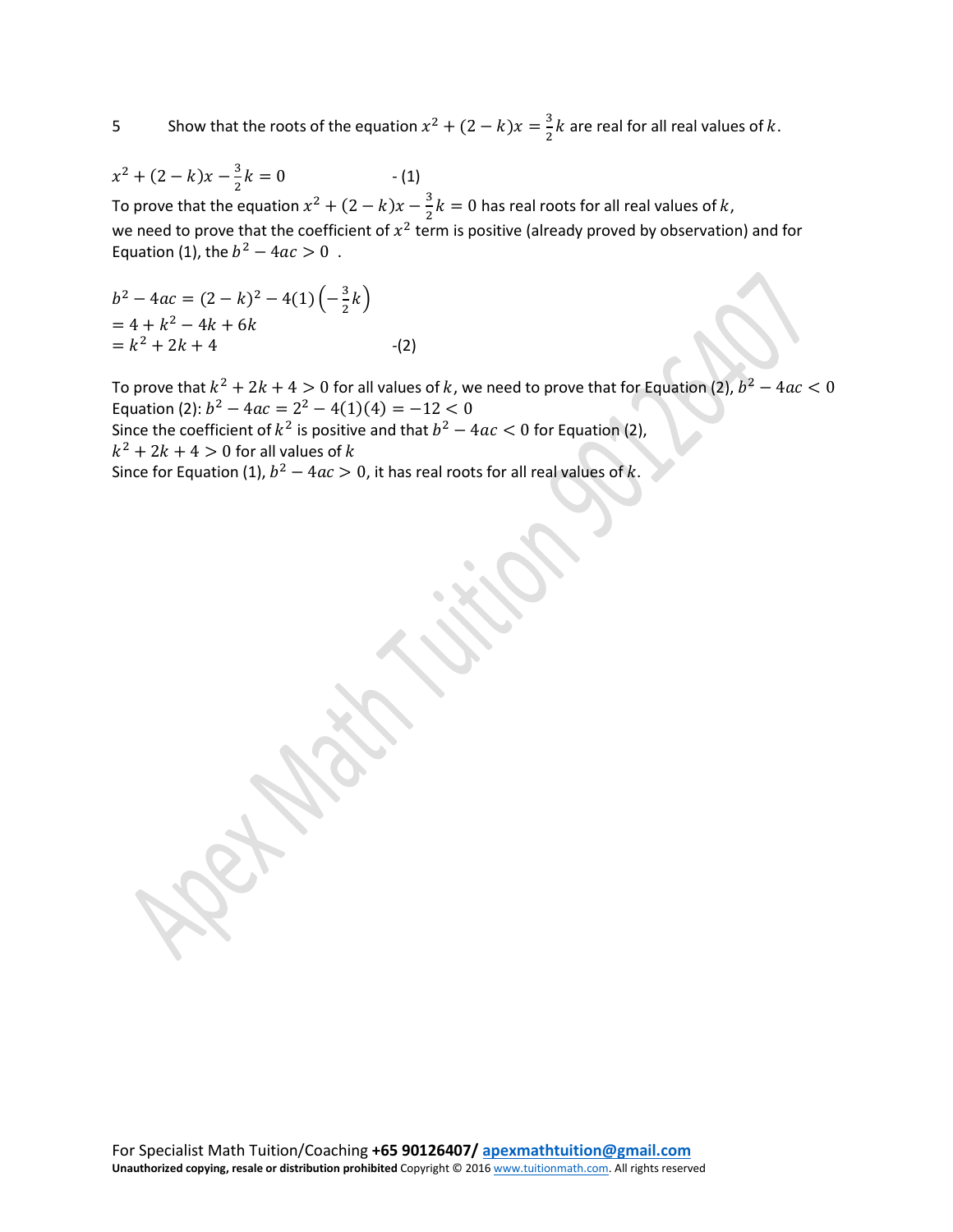5 Show that the roots of the equation  $x^2 + (2 - k)x = \frac{3}{2}k$  are real for all real values of k.

$$
x^2 + (2 - k)x - \frac{3}{2}k = 0
$$
 (1)

To prove that the equation  $x^2 + (2 - k)x - \frac{3}{2}k = 0$  has real roots for all real values of k, we need to prove that the coefficient of  $x^2$  term is positive (already proved by observation) and for Equation (1), the  $b^2 - 4ac > 0$ .

$$
b2 - 4ac = (2 - k)2 - 4(1) \left(-\frac{3}{2}k\right)
$$
  
= 4 + k<sup>2</sup> - 4k + 6k  
= k<sup>2</sup> + 2k + 4 \t\t(2)

To prove that  $k^2 + 2k + 4 > 0$  for all values of k, we need to prove that for Equation (2),  $b^2 - 4ac < 0$ Equation (2):  $b^2 - 4ac = 2^2 - 4(1)(4) = -12 < 0$ 

Since the coefficient of  $k^2$  is positive and that  $b^2 - 4ac < 0$  for Equation (2),

 $k^2 + 2k + 4 > 0$  for all values of k

Since for Equation (1),  $b^2 - 4ac > 0$ , it has real roots for all real values of k.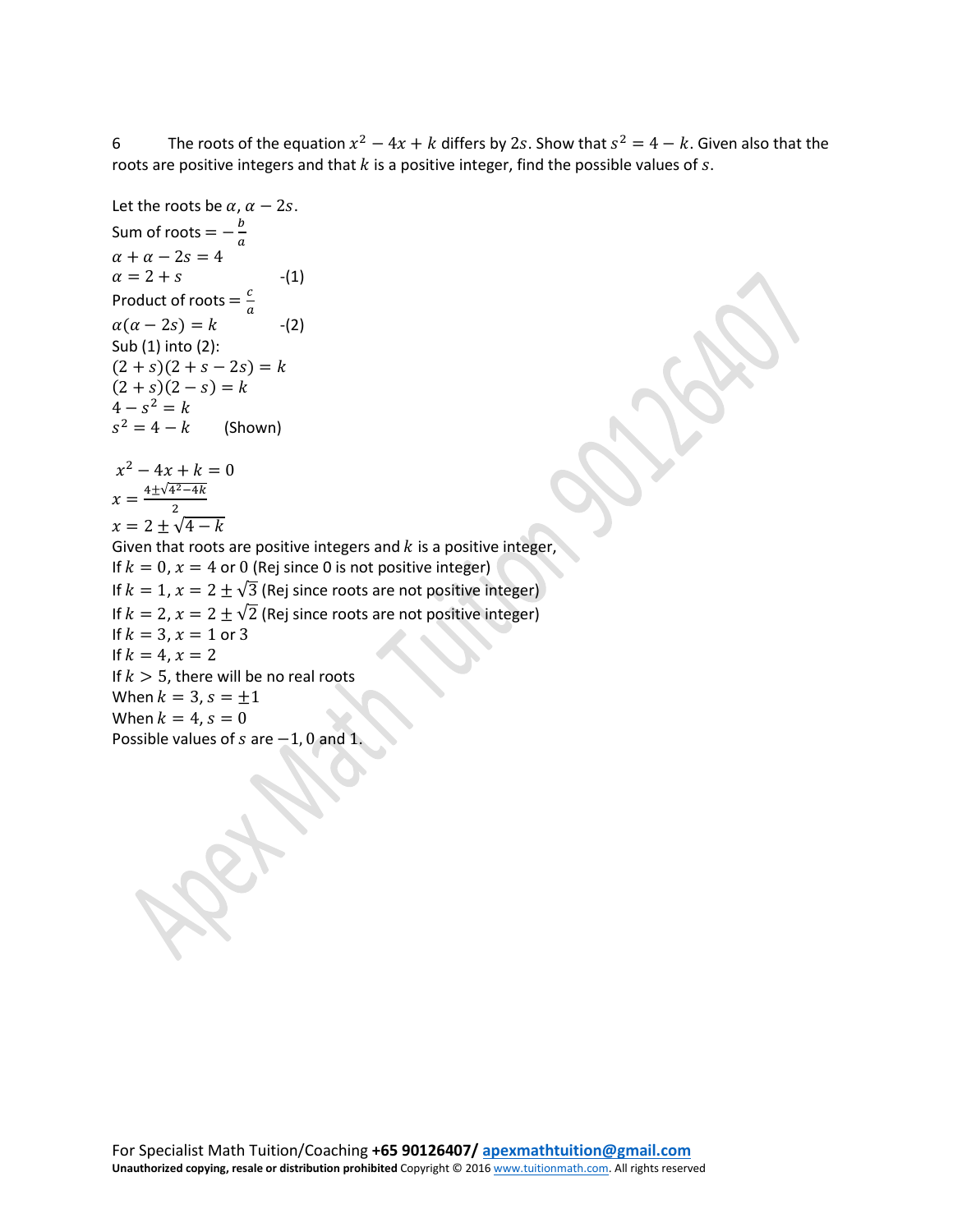6 The roots of the equation  $x^2 - 4x + k$  differs by 2s. Show that  $s^2 = 4 - k$ . Given also that the roots are positive integers and that  $k$  is a positive integer, find the possible values of  $s$ .

Let the roots be 
$$
\alpha
$$
,  $\alpha - 2s$ .  
\nSum of roots =  $-\frac{b}{a}$   
\n $\alpha + \alpha - 2s = 4$   
\n $\alpha = 2 + s$  - (1)  
\nProduct of roots =  $\frac{c}{a}$   
\n $\alpha(\alpha - 2s) = k$  - (2)  
\nSub (1) into (2):  
\n $(2 + s)(2 + s - 2s) = k$   
\n $(2 + s)(2 - s) = k$   
\n $4 - s^2 = k$   
\n $s^2 = 4 - k$  (Show)  
\n $x^2 - 4x + k = 0$   
\n $x = \frac{4 \pm \sqrt{4^2 - 4k}}{2}$   
\n $x = 2 \pm \sqrt{4 - k}$   
\nGiven that roots are positive integers and k is a positive integer,  
\nIf  $k = 0$ ,  $x = 4$  or 0 (Rej since 0 is not positive integer)  
\nIf  $k = 1$ ,  $x = 2 \pm \sqrt{3}$  (Rej since roots are not positive integer)  
\nIf  $k = 2$ ,  $x = 2 \pm \sqrt{2}$  (Rej since roots are not positive integer)  
\nIf  $k = 3$ ,  $x = 1$  or 3  
\nIf  $k = 4$ ,  $x = 2$   
\nIf  $k > 5$ , there will be no real roots  
\nWhen  $k = 3$ ,  $s = \pm 1$   
\nWhen  $k = 4$ ,  $s = 0$   
\nPosible values of s are -1, 0 and 1.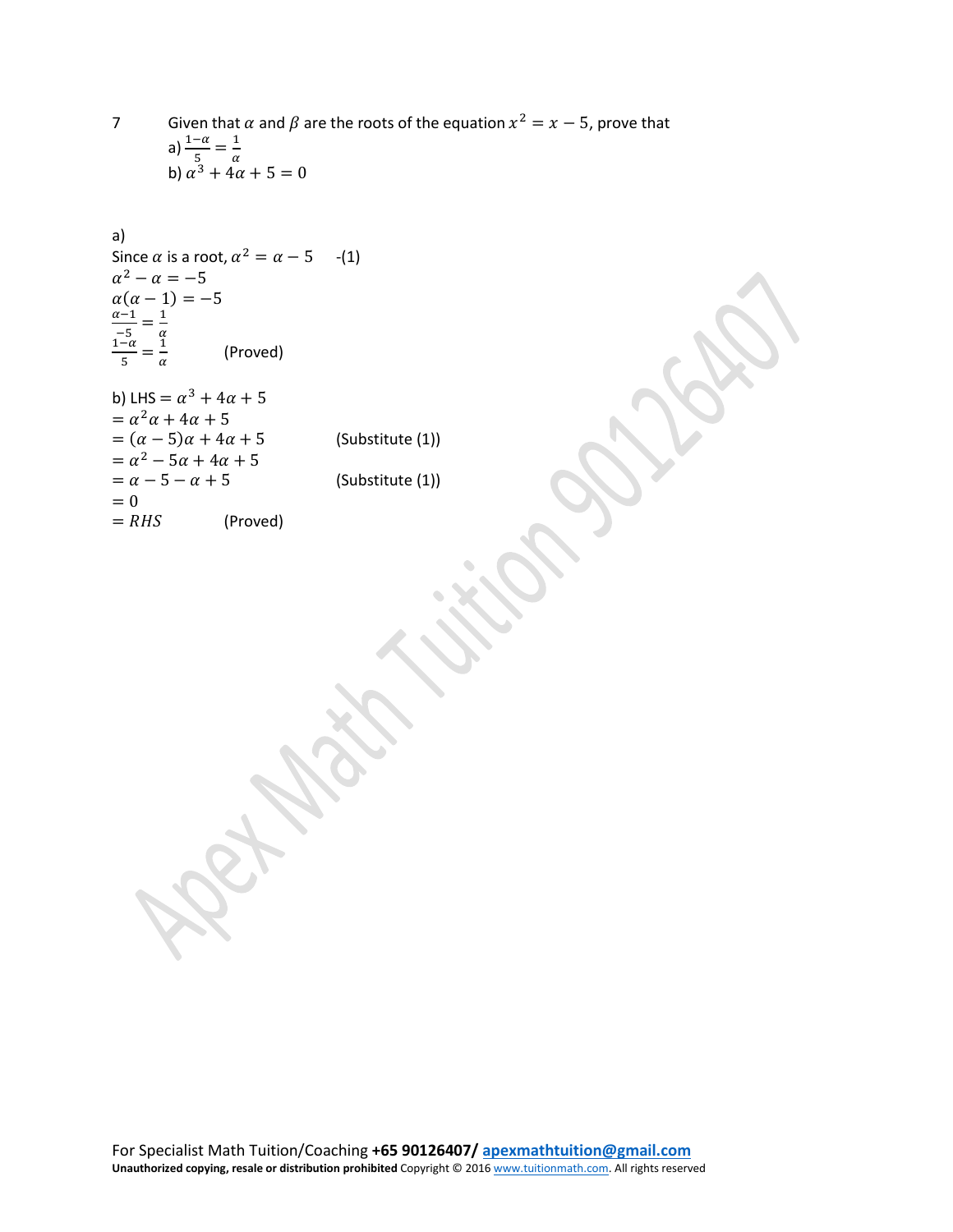7 Given that  $\alpha$  and  $\beta$  are the roots of the equation  $x^2 = x - 5$ , prove that a)  $\frac{1-\alpha}{5} = \frac{1}{\alpha}$ <br>b)  $\alpha^3 + 4\alpha + 5 = 0$ 

a)  
\nSince 
$$
\alpha
$$
 is a root,  $\alpha^2 = \alpha - 5$  -(1)  
\n $\alpha^2 - \alpha = -5$   
\n $\alpha(\alpha - 1) = -5$   
\n $\frac{\alpha - 1}{-5} = \frac{1}{\alpha}$   
\n $\frac{1 - \alpha}{5} = \frac{1}{\alpha}$  (Proved)  
\nb) LHS =  $\alpha^3 + 4\alpha + 5$   
\n $= \alpha^2 \alpha + 4\alpha + 5$   
\n $= (\alpha - 5)\alpha + 4\alpha + 5$  (Substitute (1))  
\n $= \alpha^2 - 5\alpha + 4\alpha + 5$   
\n $= \alpha - 5 - \alpha + 5$  (Substitute (1))  
\n $= 0$ 

(Proved)

 $= RHS$ 

For Specialist Math Tuition/Coaching **+65 90126407/ [apexmathtuition@gmail.com](mailto:apexmathtuition@gmail.com) Unauthorized copying, resale or distribution prohibited** Copyright © 201[6 www.tuitionmath.com.](http://www.tuitionmath.com/) All rights reserved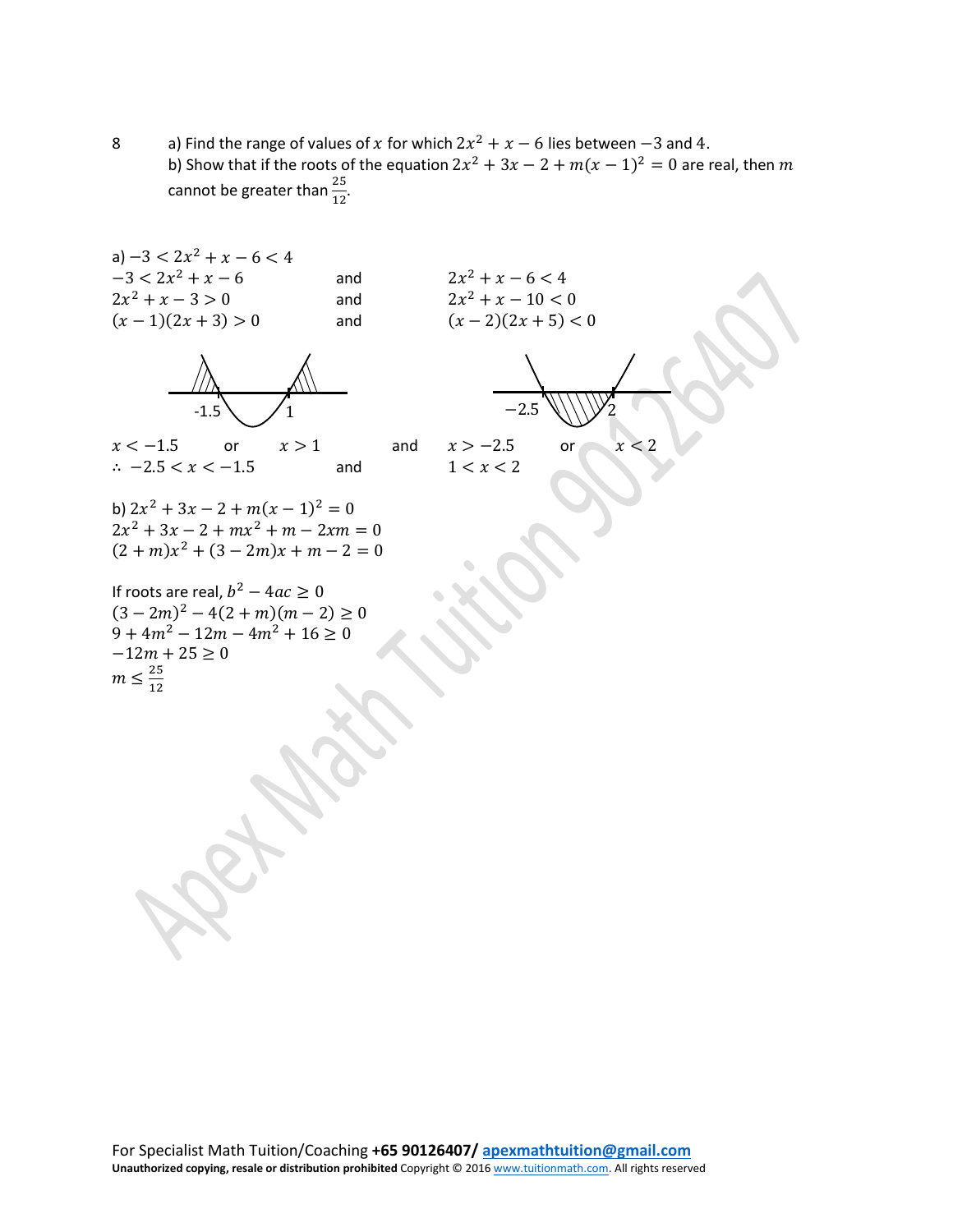8 a) Find the range of values of x for which  $2x^2 + x - 6$  lies between  $-3$  and 4. b) Show that if the roots of the equation  $2x^2 + 3x - 2 + m(x - 1)^2 = 0$  are real, then m cannot be greater than  $\frac{25}{12}$ .

a)  $-3 < 2x^2 + x - 6 < 4$  $-3 < 2x^2 + x - 6$  and  $2x^2 + x - 6 < 4$  $2x^2 + x - 3 > 0$  and  $2x^2 + x - 10 < 0$  $(x-1)(2x+3) > 0$  and  $(x-2)(2x+5) < 0$ 



 $x < -1.5$  or  $x > 1$  and  $x > -2.5$  or  $x < 2$ ∴  $-2.5 < x < -1.5$  and  $1 < x < 2$ 

b)  $2x^2 + 3x - 2 + m(x - 1)^2 = 0$  $2x^2 + 3x - 2 + mx^2 + m - 2xm = 0$  $(2 + m)x^{2} + (3 - 2m)x + m - 2 = 0$ 

If roots are real,  $b^2 - 4ac \geq 0$  $(3 - 2m)^2 - 4(2 + m)(m - 2) \ge 0$  $9 + 4m^2 - 12m - 4m^2 + 16 \ge 0$  $-12m + 25 \ge 0$  $m \leq \frac{25}{12}$ 

$$
-2.5\sqrt{172}
$$

$$
x > -2.5 \qquad \text{or} \qquad x < 1
$$

For Specialist Math Tuition/Coaching **+65 90126407/ [apexmathtuition@gmail.com](mailto:apexmathtuition@gmail.com) Unauthorized copying, resale or distribution prohibited** Copyright © 201[6 www.tuitionmath.com.](http://www.tuitionmath.com/) All rights reserved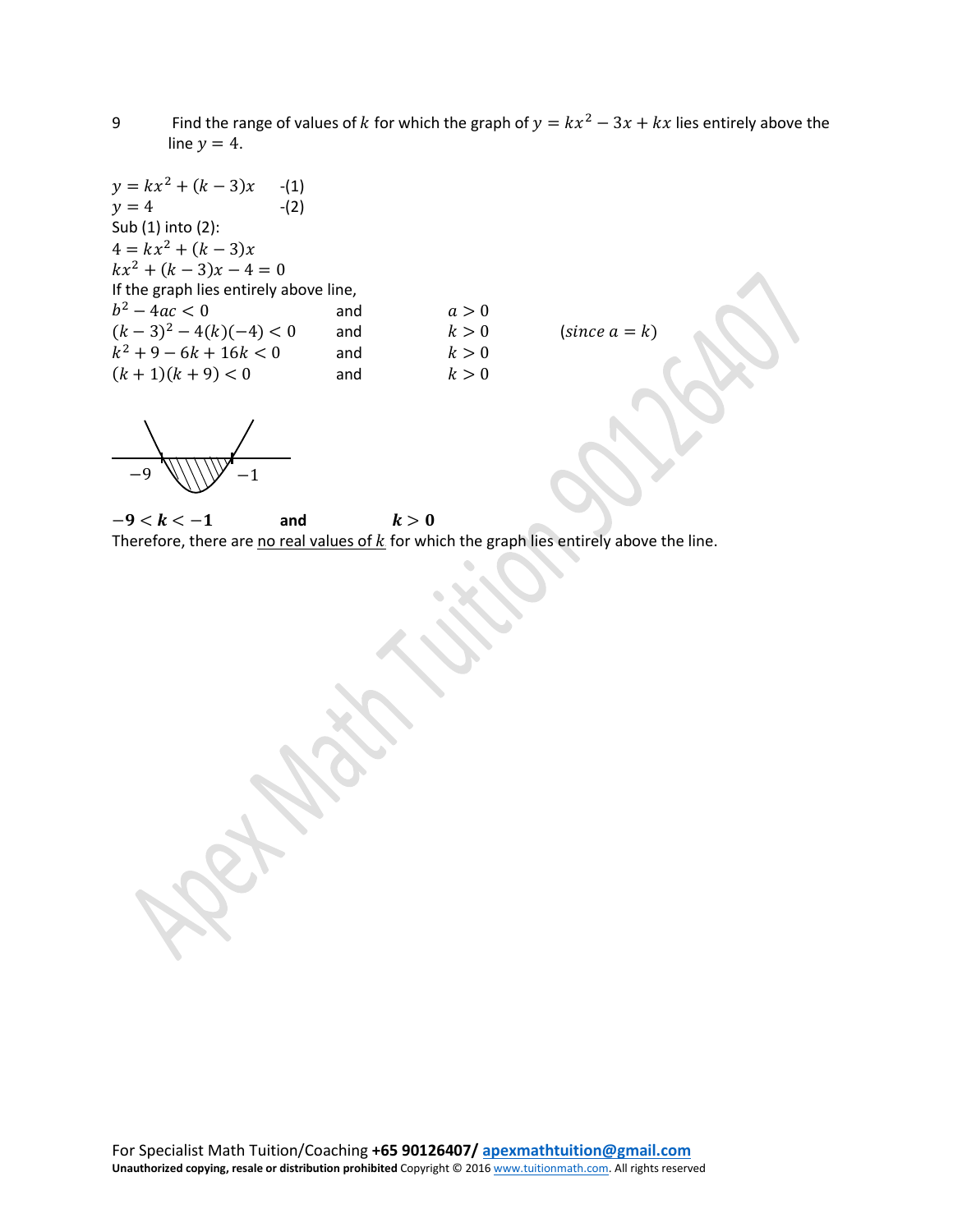9 Find the range of values of k for which the graph of  $y = kx^2 - 3x + kx$  lies entirely above the line  $y = 4$ .

 $y = kx^2 + (k-3)x$  -(1)<br>  $y = 4$  -(2)  $y = 4$ Sub (1) into (2):  $4 = kx^2 + (k-3)x$  $kx^2 + (k-3)x - 4 = 0$ If the graph lies entirely above line,  $b^2 - 4ac < 0$  and  $a > 0$  $(k-3)^2 - 4(k)(-4) < 0$  and  $k > 0$  (since  $a = k$ )  $k^2 + 9 - 6k + 16k < 0$  and  $k > 0$ <br>  $(k + 1)(k + 9) < 0$  and  $k > 0$  $(k + 1)(k + 9) < 0$ 

−9 \\\\\\/ −1

 $-9 < k < -1$  and  $k > 0$ Therefore, there are no real values of  $k$  for which the graph lies entirely above the line.

For Specialist Math Tuition/Coaching **+65 90126407/ [apexmathtuition@gmail.com](mailto:apexmathtuition@gmail.com) Unauthorized copying, resale or distribution prohibited** Copyright © 201[6 www.tuitionmath.com.](http://www.tuitionmath.com/) All rights reserved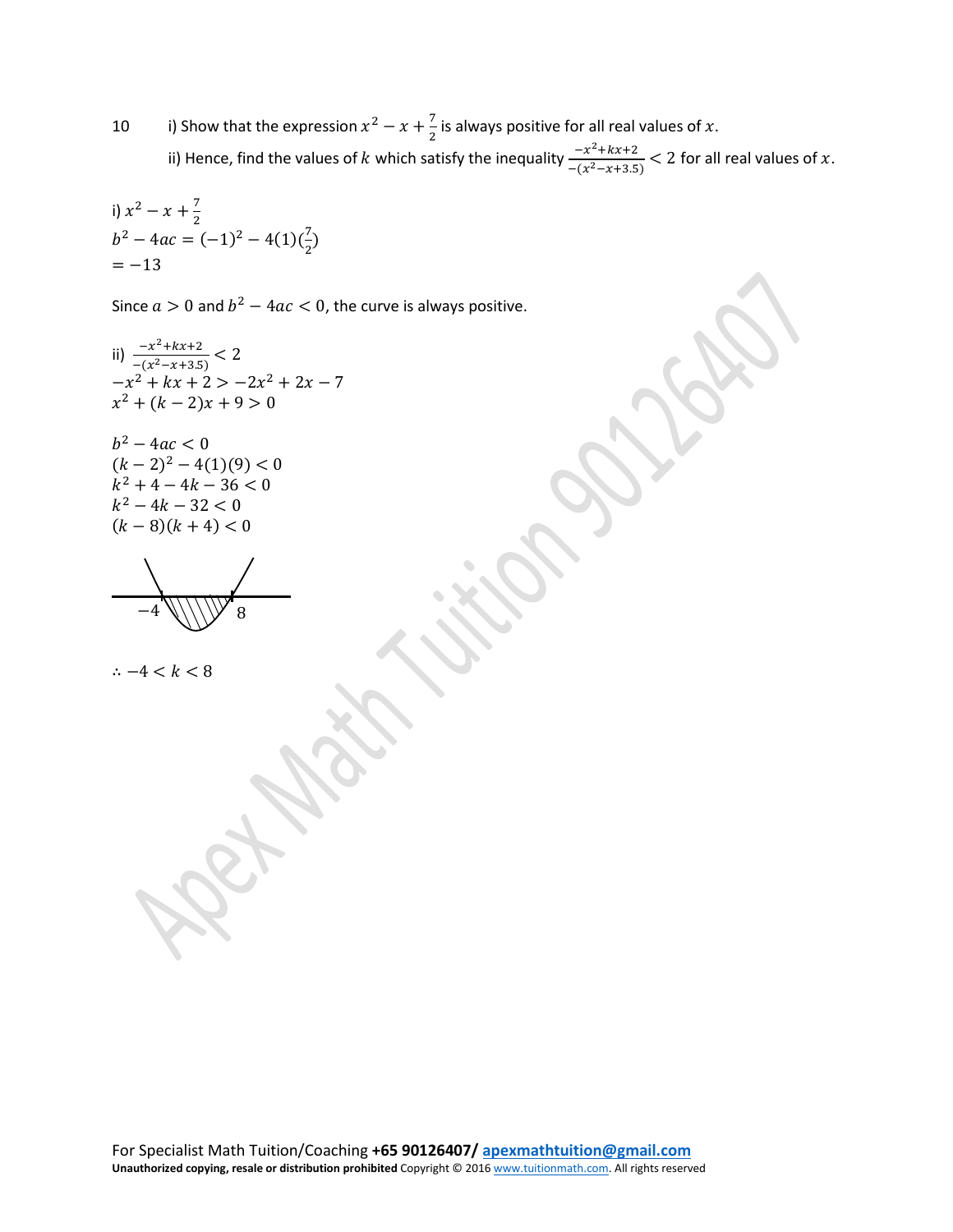10 i) Show that the expression  $x^2 - x + \frac{7}{2}$  is always positive for all real values of x. ii) Hence, find the values of  $k$  which satisfy the inequality  $\frac{-x^2 + kx + 2}{-(x^2 - x + 3.5)} < 2$  for all real values of  $x$ .

i) 
$$
x^2 - x + \frac{7}{2}
$$
  
\n $b^2 - 4ac = (-1)^2 - 4(1)(\frac{7}{2})$   
\n $= -13$ 

Since  $a > 0$  and  $b^2 - 4ac < 0$ , the curve is always positive.

ii) 
$$
\frac{-x^2 + kx + 2}{-(x^2 - x + 3.5)} < 2
$$
  
-x<sup>2</sup> + kx + 2 > -2x<sup>2</sup> + 2x - 7  
x<sup>2</sup> + (k - 2)x + 9 > 0

 $b^2 - 4ac < 0$  $(k-2)^2-4(1)(9)<0$  $k^2 + 4 - 4k - 36 < 0$  $k^2 - 4k - 32 < 0$  $(k-8)(k+4) < 0$ 

$$
\underbrace{\qquad \qquad }_{-4} \underbrace{\qquad \qquad }_{\qquad \qquad } \underbrace{\qquad \qquad }_{8}
$$

$$
\therefore -4 < k < 8
$$